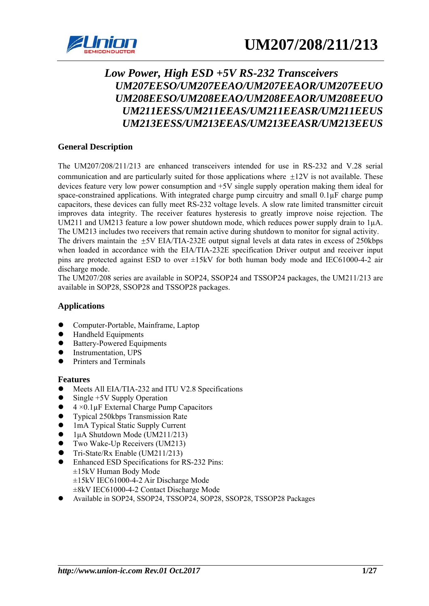

# *Low Power, High ESD +5V RS-232 Transceivers UM207EESO/UM207EEAO/UM207EEAOR/UM207EEUO UM208EESO/UM208EEAO/UM208EEAOR/UM208EEUO UM211EESS/UM211EEAS/UM211EEASR/UM211EEUS UM213EESS/UM213EEAS/UM213EEASR/UM213EEUS*

### **General Description**

The UM207/208/211/213 are enhanced transceivers intended for use in RS-232 and V.28 serial communication and are particularly suited for those applications where  $\pm 12V$  is not available. These devices feature very low power consumption and +5V single supply operation making them ideal for space-constrained applications. With integrated charge pump circuitry and small  $0.1 \mu$ F charge pump capacitors, these devices can fully meet RS-232 voltage levels. A slow rate limited transmitter circuit improves data integrity. The receiver features hysteresis to greatly improve noise rejection. The UM211 and UM213 feature a low power shutdown mode, which reduces power supply drain to  $1\mu$ A. The UM213 includes two receivers that remain active during shutdown to monitor for signal activity.

The drivers maintain the  $\pm$ 5V EIA/TIA-232E output signal levels at data rates in excess of 250kbps when loaded in accordance with the EIA/TIA-232E specification Driver output and receiver input pins are protected against ESD to over ±15kV for both human body mode and IEC61000-4-2 air discharge mode.

The UM207/208 series are available in SOP24, SSOP24 and TSSOP24 packages, the UM211/213 are available in SOP28, SSOP28 and TSSOP28 packages.

### **Applications**

- Computer-Portable, Mainframe, Laptop
- Handheld Equipments
- Battery-Powered Equipments
- Instrumentation, UPS
- Printers and Terminals

### **Features**

- Meets All EIA/TIA-232 and ITU V2.8 Specifications
- Single +5V Supply Operation
- $4 \times 0.1 \mu$ F External Charge Pump Capacitors
- z Typical 250kbps Transmission Rate
- 1mA Typical Static Supply Current
- $1\mu$ A Shutdown Mode (UM211/213)
- Two Wake-Up Receivers (UM213)
- z Tri-State/Rx Enable (UM211/213)
- Enhanced ESD Specifications for RS-232 Pins: ±15kV Human Body Mode ±15kV IEC61000-4-2 Air Discharge Mode ±8kV IEC61000-4-2 Contact Discharge Mode
- z Available in SOP24, SSOP24, TSSOP24, SOP28, SSOP28, TSSOP28 Packages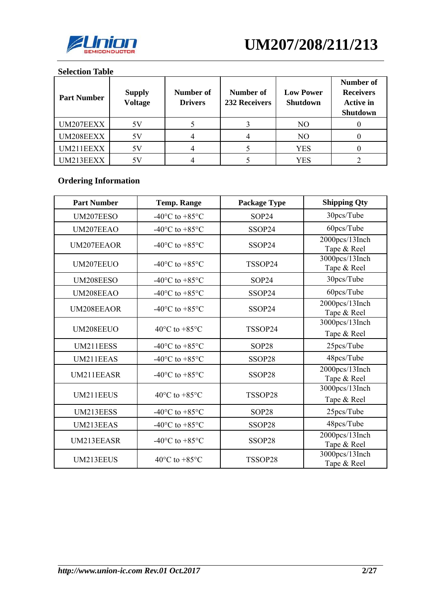

### **Selection Table**

| <b>Part Number</b> | <b>Supply</b><br><b>Voltage</b> | Number of<br><b>Drivers</b> | Number of<br>232 Receivers | <b>Low Power</b><br>Shutdown | Number of<br><b>Receivers</b><br><b>Active in</b><br>Shutdown |
|--------------------|---------------------------------|-----------------------------|----------------------------|------------------------------|---------------------------------------------------------------|
| UM207EEXX          | 5V                              |                             |                            | NO                           |                                                               |
| UM208EEXX          | 5V                              |                             |                            | NO                           |                                                               |
| UM211EEXX          | 5V                              |                             |                            | <b>YES</b>                   |                                                               |
| UM213EEXX          | 57                              |                             |                            | YES                          |                                                               |

# **Ordering Information**

| <b>Part Number</b> | <b>Temp. Range</b>                           | <b>Package Type</b> | <b>Shipping Qty</b>           |
|--------------------|----------------------------------------------|---------------------|-------------------------------|
| UM207EESO          | -40 $\rm{^{\circ}C}$ to +85 $\rm{^{\circ}C}$ | SOP24               | 30pcs/Tube                    |
| UM207EEAO          | -40 $\rm{^{\circ}C}$ to +85 $\rm{^{\circ}C}$ | SSOP24              | 60pcs/Tube                    |
| UM207EEAOR         | $-40^{\circ}$ C to $+85^{\circ}$ C           | SSOP24              | 2000pcs/13Inch<br>Tape & Reel |
| UM207EEUO          | -40 $\rm{^{\circ}C}$ to +85 $\rm{^{\circ}C}$ | TSSOP24             | 3000pcs/13Inch<br>Tape & Reel |
| UM208EESO          | -40 $\rm{^{\circ}C}$ to +85 $\rm{^{\circ}C}$ | SOP24               | 30pcs/Tube                    |
| UM208EEAO          | -40 $\rm{^{\circ}C}$ to +85 $\rm{^{\circ}C}$ | SSOP24              | 60pcs/Tube                    |
| <b>UM208EEAOR</b>  | $-40^{\circ}$ C to $+85^{\circ}$ C           | SSOP24              | 2000pcs/13Inch<br>Tape & Reel |
| UM208EEUO          | 40 $\rm{^{\circ}C}$ to +85 $\rm{^{\circ}C}$  | TSSOP24             | 3000pcs/13Inch<br>Tape & Reel |
| UM211EESS          | -40 $\rm{^{\circ}C}$ to +85 $\rm{^{\circ}C}$ | SOP28               | 25pcs/Tube                    |
| UM211EEAS          | -40 $\rm{^{\circ}C}$ to +85 $\rm{^{\circ}C}$ | SSOP28              | 48pcs/Tube                    |
| UM211EEASR         | $-40^{\circ}$ C to $+85^{\circ}$ C           | SSOP28              | 2000pcs/13Inch<br>Tape & Reel |
| UM211EEUS          | 40 $\rm{^{\circ}C}$ to +85 $\rm{^{\circ}C}$  | TSSOP28             | 3000pcs/13Inch<br>Tape & Reel |
| UM213EESS          | -40 $\rm{^{\circ}C}$ to +85 $\rm{^{\circ}C}$ | SOP28               | 25pcs/Tube                    |
| UM213EEAS          | -40 $\rm{^{\circ}C}$ to +85 $\rm{^{\circ}C}$ | SSOP28              | 48pcs/Tube                    |
| UM213EEASR         | $-40^{\circ}$ C to $+85^{\circ}$ C           | SSOP28              | 2000pcs/13Inch<br>Tape & Reel |
| UM213EEUS          | 40 $\rm{^{\circ}C}$ to +85 $\rm{^{\circ}C}$  | TSSOP28             | 3000pcs/13Inch<br>Tape & Reel |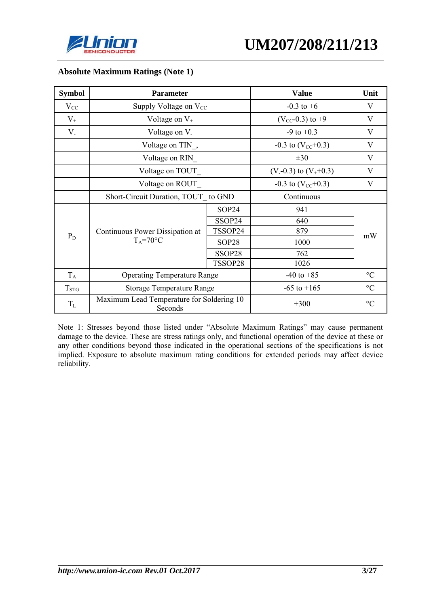



| <b>Symbol</b>           | <b>Parameter</b>                                     | <b>Value</b> | Unit                       |                           |
|-------------------------|------------------------------------------------------|--------------|----------------------------|---------------------------|
| $V_{CC}$                | Supply Voltage on $V_{CC}$                           |              | $-0.3$ to $+6$             | V                         |
| $V_{+}$                 | Voltage on $V_{+}$                                   |              | $(V_{CC} -0.3)$ to +9      | V                         |
| $V_{-}$                 | Voltage on V.                                        |              | $-9$ to $+0.3$             | V                         |
|                         | Voltage on TIN,                                      |              | $-0.3$ to $(V_{CC}+0.3)$   | V                         |
|                         | Voltage on RIN                                       |              | $\pm 30$                   | V                         |
|                         | Voltage on TOUT                                      |              | $(V - 0.3)$ to $(V + 0.3)$ | V                         |
|                         | Voltage on ROUT                                      |              | $-0.3$ to $(V_{CC}+0.3)$   | $\boldsymbol{\mathrm{V}}$ |
|                         | Short-Circuit Duration, TOUT to GND                  |              | Continuous                 |                           |
|                         |                                                      | SOP24        | 941                        |                           |
|                         |                                                      | SSOP24       | 640                        |                           |
|                         | Continuous Power Dissipation at                      | TSSOP24      | 879                        |                           |
| $P_D$                   | $T_A = 70$ °C                                        | SOP28        | 1000                       | mW                        |
|                         |                                                      | SSOP28       | 762                        |                           |
|                         |                                                      | TSSOP28      | 1026                       |                           |
| $T_A$                   | <b>Operating Temperature Range</b>                   |              | $-40$ to $+85$             | $\rm ^{\circ}C$           |
| <b>T</b> <sub>STG</sub> | <b>Storage Temperature Range</b>                     |              | $-65$ to $+165$            | $\rm ^{\circ}C$           |
| $T_{\rm L}$             | Maximum Lead Temperature for Soldering 10<br>Seconds |              | $+300$                     | $\rm ^{\circ}C$           |

### **Absolute Maximum Ratings (Note 1)**

Note 1: Stresses beyond those listed under "Absolute Maximum Ratings" may cause permanent damage to the device. These are stress ratings only, and functional operation of the device at these or any other conditions beyond those indicated in the operational sections of the specifications is not implied. Exposure to absolute maximum rating conditions for extended periods may affect device reliability.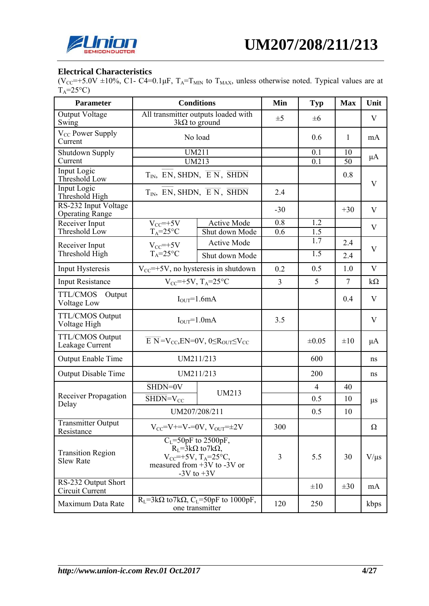

### **Electrical Characteristics**

(V<sub>CC</sub>=+5.0V ±10%, C1- C4=0.1 $\mu$ F, T<sub>A</sub>=T<sub>MIN</sub> to T<sub>MAX</sub>, unless otherwise noted. Typical values are at  $T_A = 25^{\circ}C$ 

| <b>Parameter</b>                               |                                                                                                                                                        | <b>Conditions</b>                                                              | Min            | <b>Typ</b>     | <b>Max</b> | Unit         |
|------------------------------------------------|--------------------------------------------------------------------------------------------------------------------------------------------------------|--------------------------------------------------------------------------------|----------------|----------------|------------|--------------|
| <b>Output Voltage</b><br>Swing                 | All transmitter outputs loaded with<br>$3k\Omega$ to ground                                                                                            |                                                                                | $\pm 5$        | $\pm 6$        |            | V            |
| V <sub>CC</sub> Power Supply<br>Current        |                                                                                                                                                        | No load                                                                        |                | 0.6            | 1          | mA           |
| <b>Shutdown Supply</b><br>Current              |                                                                                                                                                        | <b>UM211</b><br><b>UM213</b>                                                   |                | 0.1<br>0.1     | 10<br>50   | $\mu A$      |
| Input Logic<br>Threshold Low                   |                                                                                                                                                        | $T_{IN}$ , EN, SHDN, $\overline{E N}$ , SHDN                                   |                |                | 0.8        | V            |
| <b>Input Logic</b><br>Threshold High           |                                                                                                                                                        | $T_{IN}$ , EN, SHDN, $\overline{E N}$ , SHDN                                   | 2.4            |                |            |              |
| RS-232 Input Voltage<br><b>Operating Range</b> |                                                                                                                                                        |                                                                                | $-30$          |                | $+30$      | V            |
| Receiver Input                                 | $V_{CC}$ =+5V                                                                                                                                          | <b>Active Mode</b>                                                             | 0.8            | 1.2            |            | V            |
| Threshold Low                                  | $T_A = 25$ °C                                                                                                                                          | Shut down Mode                                                                 | 0.6            | 1.5<br>1.7     |            |              |
| Receiver Input                                 | $V_{CC}$ =+5 $V$                                                                                                                                       | <b>Active Mode</b>                                                             |                |                | 2.4        | $\mathbf{V}$ |
| Threshold High                                 | $T_A = 25$ °C                                                                                                                                          | Shut down Mode                                                                 |                | 1.5            | 2.4        |              |
| Input Hysteresis                               | $V_{\text{CC}}$ =+5V, no hysteresis in shutdown                                                                                                        |                                                                                | 0.2            | 0.5            | 1.0        | V            |
| <b>Input Resistance</b>                        | $V_{CC}$ =+5V, T <sub>A</sub> =25°C                                                                                                                    |                                                                                | $\overline{3}$ | 5              | 7          | $k\Omega$    |
| TTL/CMOS<br>Output<br>Voltage Low              | $I_{OUT} = 1.6mA$                                                                                                                                      |                                                                                |                |                | 0.4        | V            |
| <b>TTL/CMOS Output</b><br>Voltage High         | $IOUT=1.0mA$                                                                                                                                           |                                                                                | 3.5            |                |            | V            |
| <b>TTL/CMOS Output</b><br>Leakage Current      |                                                                                                                                                        | $\overline{E N}$ =V <sub>CC</sub> , EN=0V, 0≤R <sub>OUT</sub> ≤V <sub>CC</sub> |                | $\pm 0.05$     | $\pm 10$   | $\mu A$      |
| <b>Output Enable Time</b>                      |                                                                                                                                                        | UM211/213                                                                      |                | 600            |            | ns           |
| <b>Output Disable Time</b>                     | UM211/213                                                                                                                                              |                                                                                |                | 200            |            | ns           |
|                                                | $\overline{\text{SHDN}}$ =0V                                                                                                                           | UM213                                                                          |                | $\overline{4}$ | 40         |              |
| Receiver Propagation<br>Delay                  | $\overline{\text{SHDN}} = V_{CC}$                                                                                                                      |                                                                                |                | 0.5            | 10         | $\mu s$      |
|                                                | UM207/208/211                                                                                                                                          |                                                                                |                | 0.5            | 10         |              |
| <b>Transmitter Output</b><br>Resistance        | $V_{CC} = V + V = 0V$ , $V_{OUT} = \pm 2V$                                                                                                             |                                                                                | 300            |                |            | $\Omega$     |
| <b>Transition Region</b><br><b>Slew Rate</b>   | $C_{L}$ =50pF to 2500pF,<br>$R_{I} = 3k\Omega$ to 7k $\Omega$ ,<br>$V_{CC}$ =+5V, T <sub>A</sub> =25°C,<br>measured from +3V to -3V or<br>-3V to $+3V$ |                                                                                | 3              | 5.5            | 30         | $V/\mu s$    |
| RS-232 Output Short<br>Circuit Current         |                                                                                                                                                        |                                                                                |                | $\pm 10$       | $\pm 30$   | mA           |
| Maximum Data Rate                              |                                                                                                                                                        | $R_L$ =3k $\Omega$ to 7k $\Omega$ , $C_L$ =50pF to 1000pF,<br>one transmitter  | 120            | 250            |            | kbps         |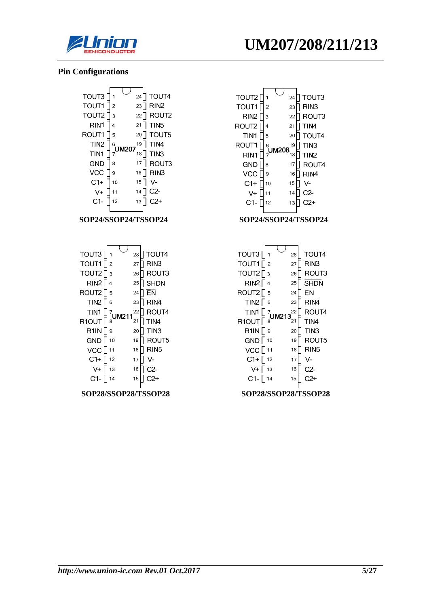



#### **Pin Configurations**







| TOUT3            | 1                 | 28 | TOUT4            |
|------------------|-------------------|----|------------------|
| TOUT1            | $\overline{2}$    | 27 | RIN <sub>3</sub> |
| TOUT2            | 3                 | 26 | ROUT3            |
| RIN <sub>2</sub> | 4                 | 25 | <b>SHDN</b>      |
| ROUT2            | 5                 | 24 | EN               |
| TIN <sub>2</sub> | 6                 | 23 | RIN4             |
| TIN1             | 7<br><b>UM213</b> | 22 | ROUT4            |
|                  |                   |    |                  |
| R10UT            | 8                 | 21 | TIN4             |
| R1IN             | 9                 | 20 | TIN3             |
| <b>GND</b>       | 10                | 19 | ROUT5            |
| VCC              | 11                | 18 | RIN5             |
| $C1+$            | 12                | 17 | V-               |
| V+               | 13                | 16 | C2-              |
| C1-              | 14                | 15 |                  |

#### **SOP28/SSOP28/TSSOP28 SOP28/SSOP28/TSSOP28**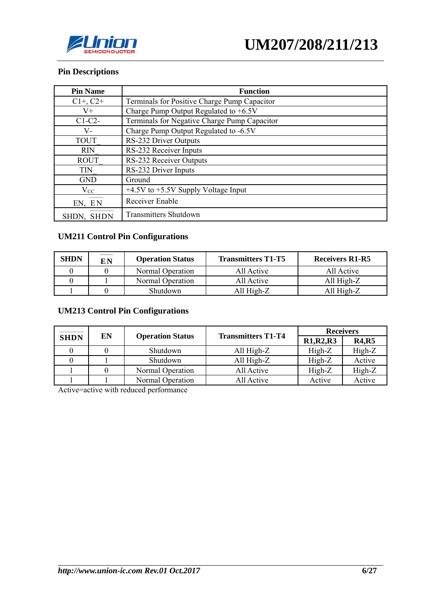

### **Pin Descriptions**

| <b>Pin Name</b>      | <b>Function</b>                              |
|----------------------|----------------------------------------------|
| $C1+, C2+$           | Terminals for Positive Charge Pump Capacitor |
| $V_{+}$              | Charge Pump Output Regulated to $+6.5V$      |
| $C1-C2-$             | Terminals for Negative Charge Pump Capacitor |
| V-                   | Charge Pump Output Regulated to -6.5V        |
| <b>TOUT</b>          | RS-232 Driver Outputs                        |
| <b>RIN</b>           | RS-232 Receiver Inputs                       |
| <b>ROUT</b>          | RS-232 Receiver Outputs                      |
| <b>TIN</b>           | RS-232 Driver Inputs                         |
| <b>GND</b>           | Ground                                       |
| $V_{CC}$             | $+4.5V$ to $+5.5V$ Supply Voltage Input      |
| EN, EN               | Receiver Enable                              |
| <b>SHDN</b><br>SHDN. | <b>Transmitters Shutdown</b>                 |

### **UM211 Control Pin Configurations**

| <b>SHDN</b> | EN | <b>Operation Status</b> | <b>Transmitters T1-T5</b> | <b>Receivers R1-R5</b> |
|-------------|----|-------------------------|---------------------------|------------------------|
|             |    | Normal Operation        | All Active                | All Active             |
|             |    | Normal Operation        | All Active                | All $High-Z$           |
|             |    | Shutdown                | All High-Z                | All High-Z             |

### **UM213 Control Pin Configurations**

|             | EN |                         | <b>Transmitters T1-T4</b> | <b>Receivers</b>                               |              |  |
|-------------|----|-------------------------|---------------------------|------------------------------------------------|--------------|--|
| <b>SHDN</b> |    | <b>Operation Status</b> |                           | R <sub>1</sub> ,R <sub>2</sub> ,R <sub>3</sub> | <b>R4,R5</b> |  |
|             |    | Shutdown                | All High- $Z$             | $High-Z$                                       | High-Z       |  |
|             |    | Shutdown                | All High- $Z$             | $High-Z$                                       | Active       |  |
|             |    | Normal Operation        | All Active                | High-Z                                         | High-Z       |  |
|             |    | Normal Operation        | All Active                | Active                                         | Active       |  |

Active=active with reduced performance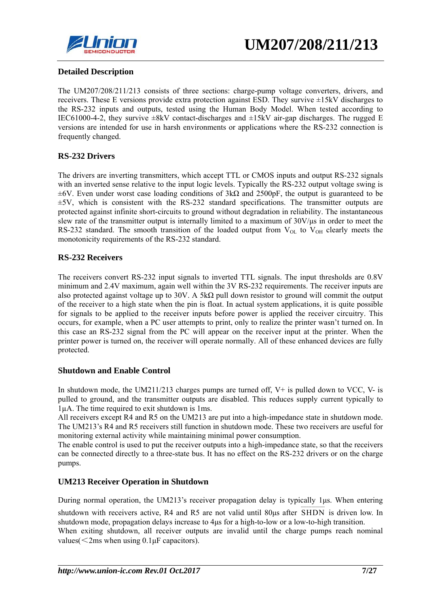

### **Detailed Description**

The UM207/208/211/213 consists of three sections: charge-pump voltage converters, drivers, and receivers. These E versions provide extra protection against ESD. They survive ±15kV discharges to the RS-232 inputs and outputs, tested using the Human Body Model. When tested according to IEC61000-4-2, they survive  $\pm 8kV$  contact-discharges and  $\pm 15kV$  air-gap discharges. The rugged E versions are intended for use in harsh environments or applications where the RS-232 connection is frequently changed.

### **RS-232 Drivers**

The drivers are inverting transmitters, which accept TTL or CMOS inputs and output RS-232 signals with an inverted sense relative to the input logic levels. Typically the RS-232 output voltage swing is  $±6V$ . Even under worst case loading conditions of  $3k\Omega$  and  $2500pF$ , the output is guaranteed to be  $\pm$ 5V, which is consistent with the RS-232 standard specifications. The transmitter outputs are protected against infinite short-circuits to ground without degradation in reliability. The instantaneous slew rate of the transmitter output is internally limited to a maximum of 30V/μs in order to meet the RS-232 standard. The smooth transition of the loaded output from  $V_{OL}$  to  $V_{OH}$  clearly meets the monotonicity requirements of the RS-232 standard.

### **RS-232 Receivers**

The receivers convert RS-232 input signals to inverted TTL signals. The input thresholds are 0.8V minimum and 2.4V maximum, again well within the 3V RS-232 requirements. The receiver inputs are also protected against voltage up to 30V. A 5k $\Omega$  pull down resistor to ground will commit the output of the receiver to a high state when the pin is float. In actual system applications, it is quite possible for signals to be applied to the receiver inputs before power is applied the receiver circuitry. This occurs, for example, when a PC user attempts to print, only to realize the printer wasn't turned on. In this case an RS-232 signal from the PC will appear on the receiver input at the printer. When the printer power is turned on, the receiver will operate normally. All of these enhanced devices are fully protected.

### **Shutdown and Enable Control**

In shutdown mode, the UM211/213 charges pumps are turned off,  $V^+$  is pulled down to VCC,  $V^-$  is pulled to ground, and the transmitter outputs are disabled. This reduces supply current typically to 1µA. The time required to exit shutdown is 1ms.

All receivers except R4 and R5 on the UM213 are put into a high-impedance state in shutdown mode. The UM213's R4 and R5 receivers still function in shutdown mode. These two receivers are useful for monitoring external activity while maintaining minimal power consumption.

The enable control is used to put the receiver outputs into a high-impedance state, so that the receivers can be connected directly to a three-state bus. It has no effect on the RS-232 drivers or on the charge pumps.

### **UM213 Receiver Operation in Shutdown**

During normal operation, the UM213's receiver propagation delay is typically 1μs. When entering shutdown with receivers active, R4 and R5 are not valid until 80 $\mu$ s after SHDN is driven low. In shutdown mode, propagation delays increase to 4μs for a high-to-low or a low-to-high transition. When exiting shutdown, all receiver outputs are invalid until the charge pumps reach nominal values  $\leq$  2ms when using 0.1  $\mu$ F capacitors).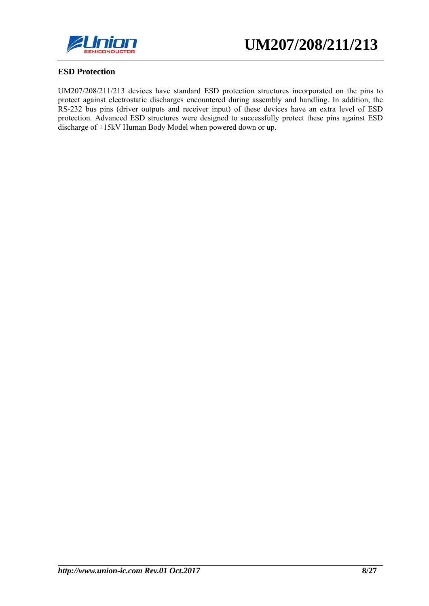

### **ESD Protection**

UM207/208/211/213 devices have standard ESD protection structures incorporated on the pins to protect against electrostatic discharges encountered during assembly and handling. In addition, the RS-232 bus pins (driver outputs and receiver input) of these devices have an extra level of ESD protection. Advanced ESD structures were designed to successfully protect these pins against ESD discharge of ±15kV Human Body Model when powered down or up.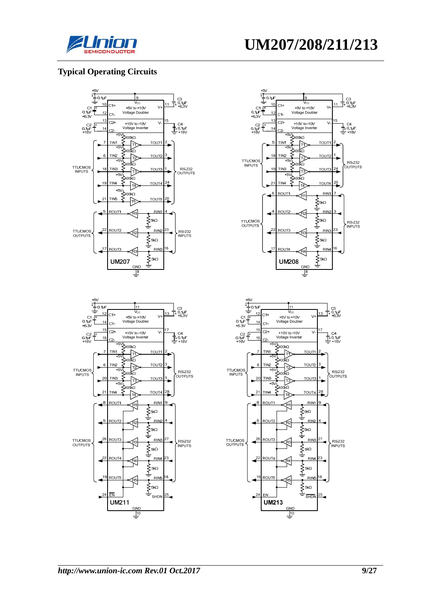

### **Typical Operating Circuits**







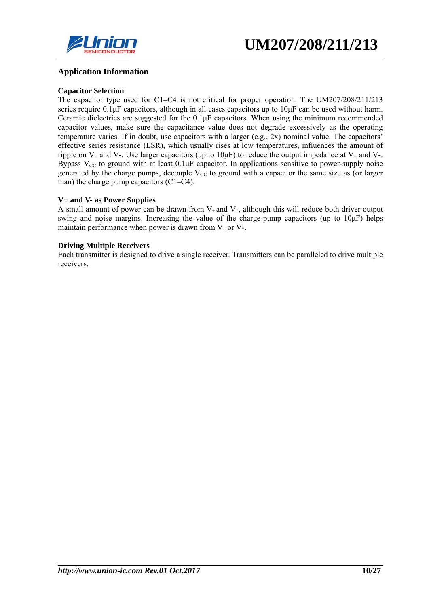

#### **Application Information**

#### **Capacitor Selection**

The capacitor type used for C1–C4 is not critical for proper operation. The UM207/208/211/213 series require 0.1μF capacitors, although in all cases capacitors up to 10μF can be used without harm. Ceramic dielectrics are suggested for the 0.1μF capacitors. When using the minimum recommended capacitor values, make sure the capacitance value does not degrade excessively as the operating temperature varies. If in doubt, use capacitors with a larger (e.g., 2x) nominal value. The capacitors' effective series resistance (ESR), which usually rises at low temperatures, influences the amount of ripple on  $V_+$  and V-. Use larger capacitors (up to  $10\mu$ F) to reduce the output impedance at  $V_+$  and V-. Bypass  $V_{CC}$  to ground with at least  $0.1 \mu$ F capacitor. In applications sensitive to power-supply noise generated by the charge pumps, decouple  $V_{CC}$  to ground with a capacitor the same size as (or larger than) the charge pump capacitors (C1–C4).

#### **V+ and V- as Power Supplies**

A small amount of power can be drawn from  $V_+$  and  $V_-$ , although this will reduce both driver output swing and noise margins. Increasing the value of the charge-pump capacitors (up to 10μF) helps maintain performance when power is drawn from  $V_{+}$  or  $V_{-}$ .

#### **Driving Multiple Receivers**

Each transmitter is designed to drive a single receiver. Transmitters can be paralleled to drive multiple receivers.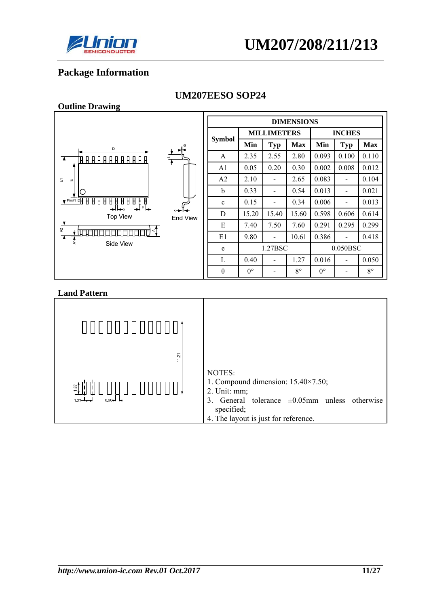

# **Package Information**

**Outline Drawing** 

#### **DIMENSIONS MILLIMETERS INCHES Symbol**  $M$ in Typ Max Min Typ Max A 2.35 2.55 2.80 0.093 0.100 0.110 A1 0.05 0.20 0.30 0.002 0.008 0.012  $A2 \begin{bmatrix} 2.10 & - & 2.65 & 0.083 \end{bmatrix}$  - 0.104  $\overline{\omega}$ b  $\begin{array}{|c|c|c|c|c|c|c|c|c|} \hline 0.33 & - & 0.54 & 0.013 & - & 0.021 \ \hline \end{array}$ 88888 8888 c  $0.15$  - 0.34 0.006 - 0.013 .<br>ما D 15.20 15.40 15.60 0.598 0.606 0.614 **Top View** End View E 7.40 7.50 7.60 0.291 0.295 0.299 E1 9.80 - 10.61 0.386 - 0.418 Side View e 1.27BSC 0.050BSC L  $0.40$  - 1.27 0.016 - 0.050 θ  $0^{\circ}$  - 8° 0° - 8°

### **UM207EESO SOP24**

| 11.21                                               | NOTES:                                                                                                                                                                       |
|-----------------------------------------------------|------------------------------------------------------------------------------------------------------------------------------------------------------------------------------|
| $\frac{5}{2}$<br>$0.60 - 1$<br>$1.27 - \rightarrow$ | 1. Compound dimension: $15.40 \times 7.50$ ;<br>2. Unit: mm;<br>General tolerance $\pm 0.05$ mm unless otherwise<br>3.<br>specified;<br>4. The layout is just for reference. |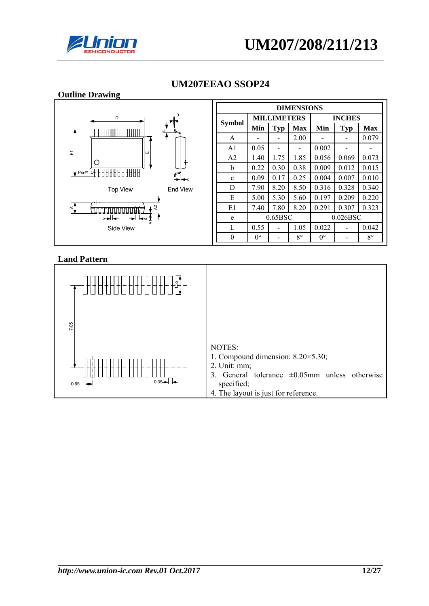



| <b>Outline Drawing</b>                           |                   |                                     |                          |             |             |                          |             |
|--------------------------------------------------|-------------------|-------------------------------------|--------------------------|-------------|-------------|--------------------------|-------------|
|                                                  | <b>DIMENSIONS</b> |                                     |                          |             |             |                          |             |
| θ<br>D                                           |                   | <b>MILLIMETERS</b><br><b>INCHES</b> |                          |             |             |                          |             |
| <u> FIARA ARABAT E</u>                           | <b>Symbol</b>     | Min                                 | <b>Typ</b>               | <b>Max</b>  | Min         | <b>Typ</b>               | <b>Max</b>  |
|                                                  | A                 |                                     | ۰                        | 2.00        |             |                          | 0.079       |
| 冨<br>-ш                                          | A <sub>1</sub>    | 0.05                                | $\overline{\phantom{0}}$ | -           | 0.002       | -                        |             |
| $\rightarrow$                                    | A <sub>2</sub>    | 1.40                                | 1.75                     | 1.85        | 0.056       | 0.069                    | 0.073       |
| O<br>Pin#1088888888888                           | b                 | 0.22                                | 0.30                     | 0.38        | 0.009       | 0.012                    | 0.015       |
| ★⊫←                                              | $\mathbf c$       | 0.09                                | 0.17                     | 0.25        | 0.004       | 0.007                    | 0.010       |
| <b>Top View</b><br>End View                      | D                 | 7.90                                | 8.20                     | 8.50        | 0.316       | 0.328                    | 0.340       |
|                                                  | E                 | 5.00                                | 5.30                     | 5.60        | 0.197       | 0.209                    | 0.220       |
| $\boldsymbol{\mathcal{S}}$<br>⋖<br>innin'i 7     | E1                | 7.40                                | 7.80                     | 8.20        | 0.291       | 0.307                    | 0.323       |
| b★l←<br>$\rightarrow$ $\leftarrow$ $\frac{1}{4}$ | e                 |                                     | 0.65BSC                  |             |             | 0.026BSC                 |             |
| Side View                                        | L                 | 0.55                                |                          | 1.05        | 0.022       | $\overline{\phantom{a}}$ | 0.042       |
|                                                  | $\theta$          | $0^{\circ}$                         | ۰                        | $8^{\circ}$ | $0^{\circ}$ |                          | $8^{\circ}$ |

# **UM207EEAO SSOP24**

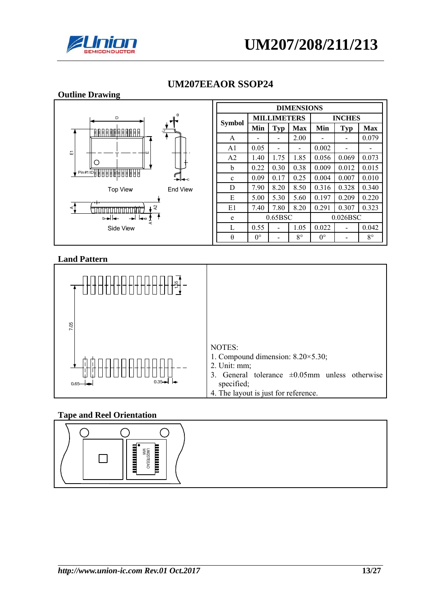





### **UM207EEAOR SSOP24**

#### **Land Pattern**



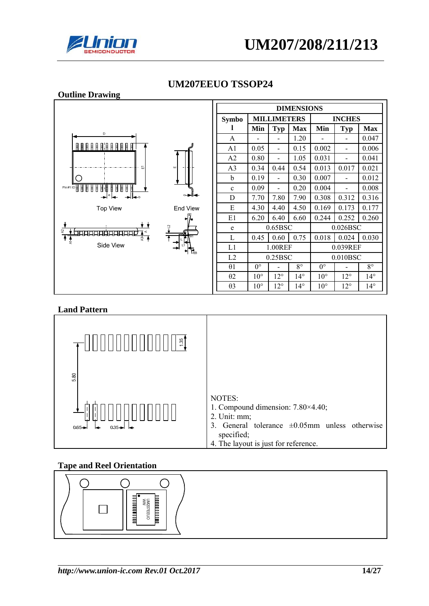



#### **Outline Drawing DIMENSIONS MILLIMETERS INCHES Symbo l**   $Min$  Typ Max Min Typ Max A - - 1.20 - - 0.047 A1  $\begin{array}{|c|c|c|c|c|c|c|c|} \hline 0.05 & - & 0.15 & 0.002 & - & 0.006 \hline \end{array}$  $A2 \begin{bmatrix} 0.80 & - & 1.05 & 0.031 & - & 0.041 \end{bmatrix}$ A3 0.34 0.44 0.54 0.013 0.017 0.021 b  $\begin{array}{|c|c|c|c|c|c|c|c|c|} \hline 0.19 & - & 0.30 & 0.007 & - & 0.012 \ \hline \end{array}$ C Pin#11D目目目目目 c  $0.09$  -  $0.20$  0.004 - 0.008 888 D 7.70 7.80 7.90 0.308 0.312 0.316 **Top View** End View E  $|4.30 |4.40 |4.50 |0.169 |0.173 |0.177$ E1 6.20 6.40 6.60 0.244 0.252 0.260 e 0.65BSC 0.026BSC प्रकार का प्रकार प्रकार<br>प्रकार का प्रकार प्रकार L 0.45 0.60 0.75 0.018 0.024 0.030 Side View L1 1.00REF 0.039REF L2 0.25BSC 0.010BSC  $\theta$ 1 | 0° | - | 8° | 0° | - | 8° θ2 10° 12° 14° 10° 12° 14° θ3 10° 12° 14° 10° 12° 14°

### **UM207EEUO TSSOP24**

### **Land Pattern**



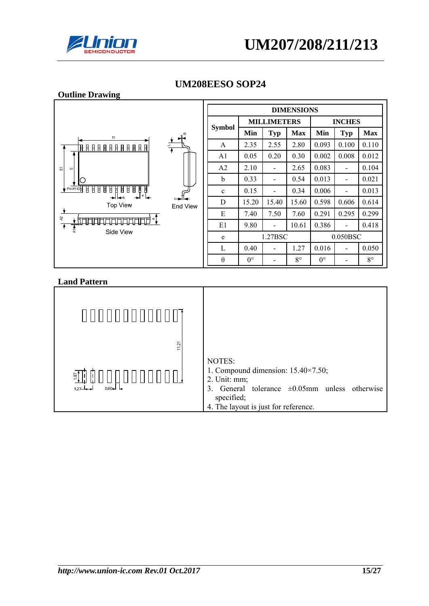



| <b>Outline Drawing</b>                                                                                                                                                                                                                                                               |                |               |                |                    |                   |                          |                |             |
|--------------------------------------------------------------------------------------------------------------------------------------------------------------------------------------------------------------------------------------------------------------------------------------|----------------|---------------|----------------|--------------------|-------------------|--------------------------|----------------|-------------|
|                                                                                                                                                                                                                                                                                      |                |               |                |                    | <b>DIMENSIONS</b> |                          |                |             |
| $\mathbf{H}^{\circ}$<br>D<br>$\frac{1}{\sqrt{2}}$<br><u>FA A A A A A A A A A A S</u><br>冨<br>ш<br>O<br>$\sqrt{\frac{P\ln\#1}{P}}$<br>$B$ $B$ $B$ $B$ $B$<br>Ŧ<br>H<br>Ħ<br>Ħ<br>Ħ<br>U<br>Ħ<br>$^{\circ}$<br>⊶<br><b>Top View</b><br>End View<br>5<br>firirin<br>$\ddot{\textbf{f}}$ |                |               |                | <b>MILLIMETERS</b> |                   |                          | <b>INCHES</b>  |             |
|                                                                                                                                                                                                                                                                                      |                | <b>Symbol</b> | Min            | <b>Typ</b>         | <b>Max</b>        | Min                      | Typ            | <b>Max</b>  |
|                                                                                                                                                                                                                                                                                      | A              | 2.35          | 2.55           | 2.80               | 0.093             | 0.100                    | 0.110          |             |
|                                                                                                                                                                                                                                                                                      | A <sub>1</sub> | 0.05          | 0.20           | 0.30               | 0.002             | 0.008                    | 0.012          |             |
|                                                                                                                                                                                                                                                                                      | A <sub>2</sub> | 2.10          | $\blacksquare$ | 2.65               | 0.083             | $\overline{\phantom{a}}$ | 0.104          |             |
|                                                                                                                                                                                                                                                                                      | b              | 0.33          | -              | 0.54               | 0.013             | $\overline{\phantom{a}}$ | 0.021          |             |
|                                                                                                                                                                                                                                                                                      | $\mathbf c$    | 0.15          | -              | 0.34               | 0.006             | $\overline{\phantom{0}}$ | 0.013          |             |
|                                                                                                                                                                                                                                                                                      | D              | 15.20         | 15.40          | 15.60              | 0.598             | 0.606                    | 0.614          |             |
|                                                                                                                                                                                                                                                                                      | E              | 7.40          | 7.50           | 7.60               | 0.291             | 0.295                    | 0.299          |             |
|                                                                                                                                                                                                                                                                                      | E1             | 9.80          | -              | 10.61              | 0.386             | $\overline{\phantom{a}}$ | 0.418          |             |
|                                                                                                                                                                                                                                                                                      | 풍<br>Side View | e             |                | 1.27BSC            |                   |                          | 0.050BSC       |             |
|                                                                                                                                                                                                                                                                                      |                | L             | 0.40           | -                  | 1.27              | 0.016                    | $\blacksquare$ | 0.050       |
|                                                                                                                                                                                                                                                                                      |                | $\theta$      | $0^{\circ}$    |                    | $8^{\circ}$       | $0^{\circ}$              |                | $8^{\circ}$ |

# **UM208EESO SOP24**

| 11.21                          |                                                                                                                                                                                     |
|--------------------------------|-------------------------------------------------------------------------------------------------------------------------------------------------------------------------------------|
| $rac{5}{2}$<br>127<br>$0.60 -$ | NOTES:<br>1. Compound dimension: $15.40 \times 7.50$ ;<br>2. Unit: mm;<br>3. General tolerance $\pm 0.05$ mm unless otherwise<br>specified;<br>4. The layout is just for reference. |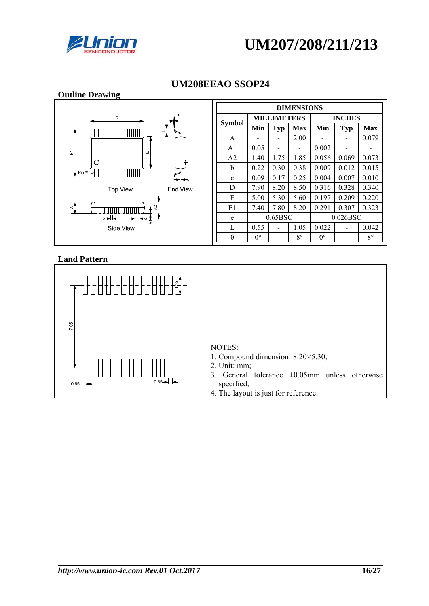



| <b>Outline Drawing</b>                                          |                   |             |                          |             |             |                          |             |  |
|-----------------------------------------------------------------|-------------------|-------------|--------------------------|-------------|-------------|--------------------------|-------------|--|
|                                                                 | <b>DIMENSIONS</b> |             |                          |             |             |                          |             |  |
| D<br><u> AAAAAAAAAAA AAAA BIRA</u>                              |                   |             | <b>MILLIMETERS</b>       |             |             | <b>INCHES</b>            |             |  |
|                                                                 | <b>Symbol</b>     | Min         | <b>Typ</b>               | <b>Max</b>  | Min         | $\mathbf{Typ}$           | <b>Max</b>  |  |
|                                                                 | A                 |             |                          | 2.00        |             |                          | 0.079       |  |
| 面                                                               | A1                | 0.05        | $\overline{\phantom{0}}$ | -           | 0.002       |                          |             |  |
|                                                                 | A <sub>2</sub>    | 1.40        | 1.75                     | 1.85        | 0.056       | 0.069                    | 0.073       |  |
| Ο                                                               | b                 | 0.22        | 0.30                     | 0.38        | 0.009       | 0.012                    | 0.015       |  |
| Pin#10888888888888<br>–⊫⊷                                       | $\mathbf c$       | 0.09        | 0.17                     | 0.25        | 0.004       | 0.007                    | 0.010       |  |
| <b>Top View</b><br>End View                                     | D                 | 7.90        | 8.20                     | 8.50        | 0.316       | 0.328                    | 0.340       |  |
|                                                                 | E                 | 5.00        | 5.30                     | 5.60        | 0.197       | 0.209                    | 0.220       |  |
| ⊺ হ<br>⋖⊺<br>hinininin'i                                        | E1                | 7.40        | 7.80                     | 8.20        | 0.291       | 0.307                    | 0.323       |  |
| $\overrightarrow{+}$ $\overrightarrow{+}$ $\frac{1}{4}$<br>b★l← | e                 |             | 0.65BSC                  |             |             | 0.026BSC                 |             |  |
| Side View                                                       | L                 | 0.55        |                          | 1.05        | 0.022       | $\overline{\phantom{a}}$ | 0.042       |  |
|                                                                 | $\theta$          | $0^{\circ}$ |                          | $8^{\circ}$ | $0^{\circ}$ |                          | $8^{\circ}$ |  |

### **UM208EEAO SSOP24**

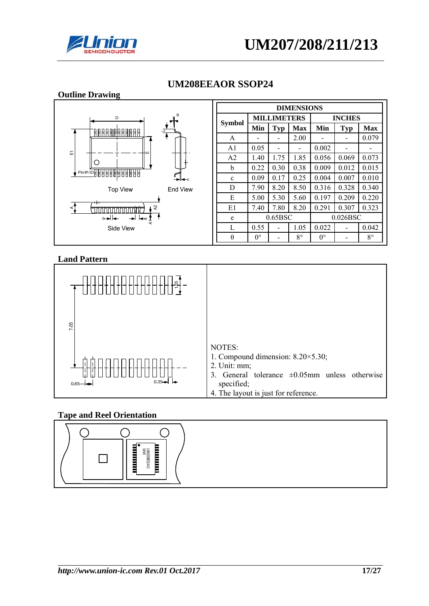





### **UM208EEAOR SSOP24**

### **Land Pattern**



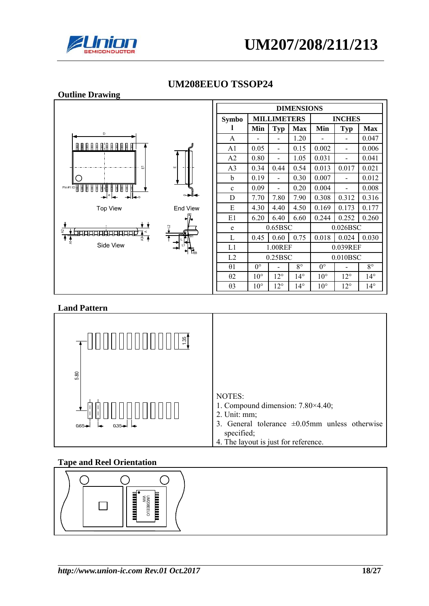



#### **Outline Drawing DIMENSIONS MILLIMETERS INCHES Symbo l**   $Min$  Typ Max Min Typ Max A - - 1.20 - - 0.047  $\begin{array}{c} \texttt{A} \texttt{B} \texttt{B} \texttt{B} \texttt{B} \texttt{B} \texttt{B} \texttt{B} \texttt{B} \texttt{B} \texttt{B} \end{array}$ A1 0.05 - 0.15 0.002 - 0.006  $A2 \begin{bmatrix} 0.80 & - & 1.05 & 0.031 & - & 0.041 \end{bmatrix}$ A3 0.34 0.44 0.54 0.013 0.017 0.021 b  $\begin{array}{|c|c|c|c|c|c|c|c|c|} \hline 0.19 & - & 0.30 & 0.007 & - & 0.012 \ \hline \end{array}$ C c  $0.09$  -  $0.20$  0.004 - 0.008 888 D 7.70 7.80 7.90 0.308 0.312 0.316 **Top View** End View E  $|4.30 |4.40 |4.50 |0.169 |0.173 |0.177$ E1 6.20 6.40 6.60 0.244 0.252 0.260 e 0.65BSC 0.026BSC **मामामार्फ्रामा** L 0.45 0.60 0.75 0.018 0.024 0.030 Side View L1 1.00REF 0.039REF L2 0.25BSC 0.010BSC  $\theta$ 1 | 0° | - | 8° | 0° | - | 8° θ2 10° 12° 14° 10° 12° 14° θ3 10° 12° 14° 10° 12° 14°

### **UM208EEUO TSSOP24**

### **Land Pattern**



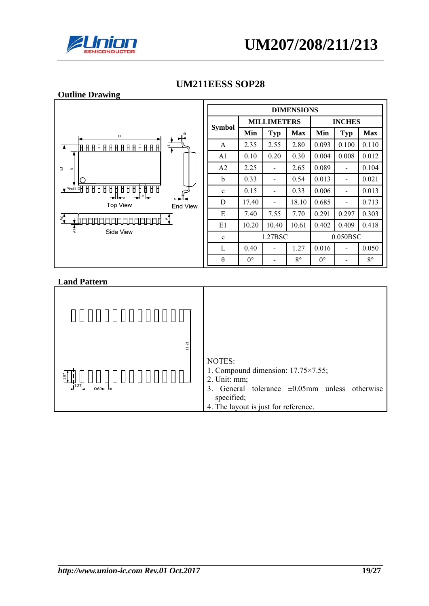



**Outline Drawing** 

### **UM211EESS SOP28**



| <b>DIMENSIONS</b> |                    |            |             |               |            |             |  |  |
|-------------------|--------------------|------------|-------------|---------------|------------|-------------|--|--|
|                   | <b>MILLIMETERS</b> |            |             | <b>INCHES</b> |            |             |  |  |
| <b>Symbol</b>     | Min                | <b>Typ</b> | <b>Max</b>  | Min           | <b>Typ</b> | <b>Max</b>  |  |  |
| A                 | 2.35               | 2.55       | 2.80        | 0.093         | 0.100      | 0.110       |  |  |
| A <sub>1</sub>    | 0.10               | 0.20       | 0.30        | 0.004         | 0.008      | 0.012       |  |  |
| A <sub>2</sub>    | 2.25               |            | 2.65        | 0.089         |            | 0.104       |  |  |
| b                 | 0.33               |            | 0.54        | 0.013         |            | 0.021       |  |  |
| $\mathbf c$       | 0.15               |            | 0.33        | 0.006         |            | 0.013       |  |  |
| D                 | 17.40              |            | 18.10       | 0.685         |            | 0.713       |  |  |
| E                 | 7.40               | 7.55       | 7.70        | 0.291         | 0.297      | 0.303       |  |  |
| E1                | 10.20              | 10.40      | 10.61       | 0.402         | 0.409      | 0.418       |  |  |
| e                 | 1.27BSC            |            |             | 0.050BSC      |            |             |  |  |
| L                 | 0.40               |            | 1.27        | 0.016         |            | 0.050       |  |  |
| $\theta$          | $0^{\circ}$        |            | $8^{\circ}$ | $0^{\circ}$   |            | $8^{\circ}$ |  |  |

| 1.21                                            |                                                                                                                                                                                     |
|-------------------------------------------------|-------------------------------------------------------------------------------------------------------------------------------------------------------------------------------------|
| 1.87<br>$\overline{\phantom{0}}_{0.60}$<br>1.27 | NOTES:<br>1. Compound dimension: $17.75 \times 7.55$ ;<br>2. Unit: mm;<br>3. General tolerance $\pm 0.05$ mm unless otherwise<br>specified;<br>4. The layout is just for reference. |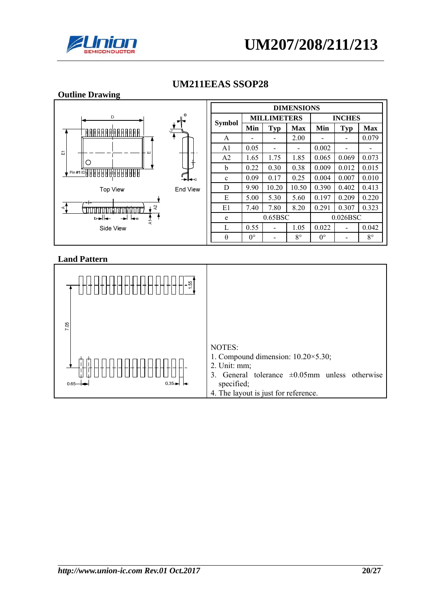

| <b>Outline Drawing</b>                                              |          |                   |                          |                          |               |                              |                          |             |  |
|---------------------------------------------------------------------|----------|-------------------|--------------------------|--------------------------|---------------|------------------------------|--------------------------|-------------|--|
|                                                                     |          | <b>DIMENSIONS</b> |                          |                          |               |                              |                          |             |  |
| θ<br>D                                                              |          |                   | <b>MILLIMETERS</b>       |                          | <b>INCHES</b> |                              |                          |             |  |
| <u> FAARA AARAA FAARTI</u>                                          |          | <b>Symbol</b>     | Min                      | <b>Typ</b>               | <b>Max</b>    | Min                          | <b>Typ</b>               | <b>Max</b>  |  |
|                                                                     | A        |                   | $\overline{\phantom{0}}$ | 2.00                     |               | $\qquad \qquad \blacksquare$ | 0.079                    |             |  |
| 됴<br>- ய                                                            |          | A1                | 0.05                     | -                        |               | 0.002                        | $\overline{\phantom{a}}$ |             |  |
|                                                                     |          | A <sub>2</sub>    | 1.65                     | 1.75                     | 1.85          | 0.065                        | 0.069                    | 0.073       |  |
|                                                                     |          | <sub>b</sub>      | 0.22                     | 0.30                     | 0.38          | 0.009                        | 0.012                    | 0.015       |  |
| Pin #1 IDB B B B B B B B B B B B B B B                              | ∸⊫⊷      | $\mathbf{c}$      | 0.09                     | 0.17                     | 0.25          | 0.004                        | 0.007                    | 0.010       |  |
| <b>Top View</b>                                                     | End View | D                 | 9.90                     | 10.20                    | 10.50         | 0.390                        | 0.402                    | 0.413       |  |
|                                                                     |          | E                 | 5.00                     | 5.30                     | 5.60          | 0.197                        | 0.209                    | 0.220       |  |
| ⊷<br>$\approx$<br>⊲1<br><u>TITITITITITITITITITITITITITITITITITI</u> |          | E1                | 7.40                     | 7.80                     | 8.20          | 0.291                        | 0.307                    | 0.323       |  |
| $\overline{\phantom{a}}$<br>b★l←<br>$\frac{1}{4}$                   |          | e                 |                          | 0.65BSC                  |               |                              | 0.026BSC                 |             |  |
| Side View                                                           |          | L                 | 0.55                     | $\overline{\phantom{0}}$ | 1.05          | 0.022                        | $\overline{\phantom{a}}$ | 0.042       |  |
|                                                                     |          | $\theta$          | $0^{\circ}$              |                          | $8^{\circ}$   | $0^{\circ}$                  |                          | $8^{\circ}$ |  |

# **UM211EEAS SSOP28**

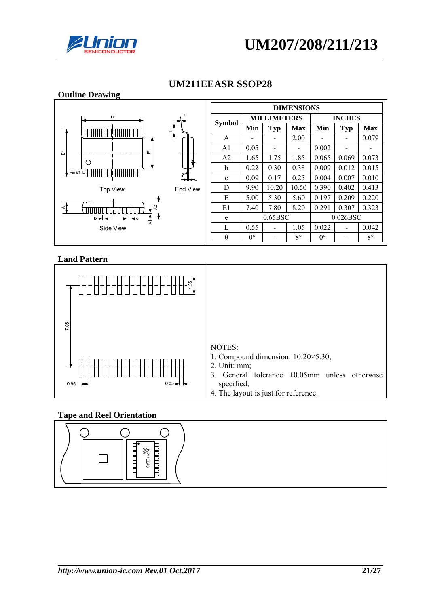

| <b>Outline Drawing</b>                                                                                                                   |          |                   |             |                          |             |             |                |             |  |
|------------------------------------------------------------------------------------------------------------------------------------------|----------|-------------------|-------------|--------------------------|-------------|-------------|----------------|-------------|--|
|                                                                                                                                          |          | <b>DIMENSIONS</b> |             |                          |             |             |                |             |  |
| θ<br>D                                                                                                                                   |          |                   |             | <b>MILLIMETERS</b>       |             |             | <b>INCHES</b>  |             |  |
| <u>FAARAARAARAAFITTA T</u>                                                                                                               |          | <b>Symbol</b>     | Min         | <b>Typ</b>               | <b>Max</b>  | Min         | <b>Typ</b>     | <b>Max</b>  |  |
|                                                                                                                                          |          | A                 | -           | $\overline{\phantom{a}}$ | 2.00        |             | $\blacksquare$ | 0.079       |  |
| 굔<br>ш                                                                                                                                   |          | A1                | 0.05        | -                        |             | 0.002       | -              |             |  |
| 0                                                                                                                                        |          | A <sub>2</sub>    | 1.65        | 1.75                     | 1.85        | 0.065       | 0.069          | 0.073       |  |
|                                                                                                                                          |          | b                 | 0.22        | 0.30                     | 0.38        | 0.009       | 0.012          | 0.015       |  |
|                                                                                                                                          | —⊫⊷      | $\mathbf{c}$      | 0.09        | 0.17                     | 0.25        | 0.004       | 0.007          | 0.010       |  |
| <b>Top View</b>                                                                                                                          | End View | D                 | 9.90        | 10.20                    | 10.50       | 0.390       | 0.402          | 0.413       |  |
| ⊶                                                                                                                                        |          | E                 | 5.00        | 5.30                     | 5.60        | 0.197       | 0.209          | 0.220       |  |
| $\lambda$<br>⋖]<br><b>CLOSE CONTRACTO DE LA CONSTITUCIÓN DE LA CONSTITUCIÓN DE LA CONSTITUCIÓN DE LA CONSTITUCIÓN DE LA CONSTITUCIÓN</b> |          | E1                | 7.40        | 7.80                     | 8.20        | 0.291       | 0.307          | 0.323       |  |
| b★l←<br>→ I I–re<br>म<br>द                                                                                                               |          | e                 |             | 0.65BSC                  |             |             | 0.026BSC       |             |  |
| Side View                                                                                                                                |          | $\mathbf{L}$      | 0.55        |                          | 1.05        | 0.022       |                | 0.042       |  |
|                                                                                                                                          |          | $\theta$          | $0^{\circ}$ | -                        | $8^{\circ}$ | $0^{\circ}$ |                | $8^{\circ}$ |  |

### **UM211EEASR SSOP28**

### **Land Pattern**



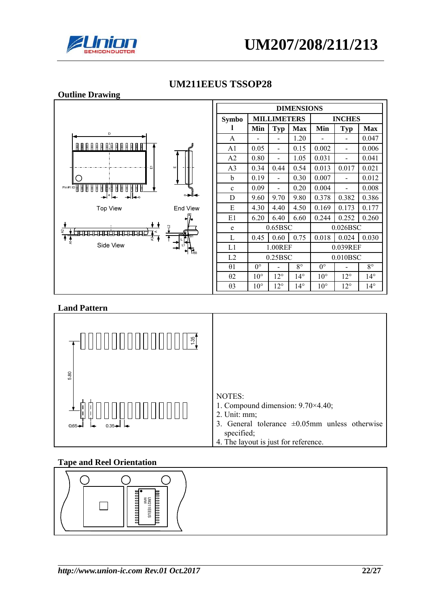



#### **Outline Drawing DIMENSIONS MILLIMETERS INCHES Symbo l**   $Min$  Typ Max Min Typ Max A - - 1.20 - - 0.047  $\begin{array}{c} \texttt{A} \texttt{B} \texttt{B} \texttt{C} \texttt{B} \texttt{C} \texttt{C} \texttt{A} \texttt{C} \texttt{C} \texttt{D} \texttt{C} \texttt{D} \texttt{C} \texttt{D} \texttt{C} \texttt{D} \texttt{C} \end{array}$ A1 0.05 - 0.15 0.002 - 0.006  $A2 \begin{bmatrix} 0.80 & - & 1.05 & 0.031 & - & 0.041 \end{bmatrix}$ A3 0.34 0.44 0.54 0.013 0.017 0.021 b  $\begin{array}{|c|c|c|c|c|c|c|c|c|} \hline 0.19 & - & 0.30 & 0.007 & - & 0.012 \ \hline \end{array}$ C c  $0.09$  -  $0.20$  0.004 - 0.008 888 Ħ D 9.60 9.70 9.80 0.378 0.382 0.386 E  $\begin{array}{|c|c|c|c|c|c|c|c|c|} \hline 4.30 & 4.40 & 4.50 & 0.169 & 0.173 & 0.177 \hline \end{array}$ **Top View** End View E1 6.20 6.40 6.60 0.244 0.252 0.260 e 0.65BSC 0.026BSC <del>प्राप्तप्राप्तप्राप्तप्राप्त</del> L 0.45 0.60 0.75 0.018 0.024 0.030 Side View L1 1.00REF 0.039REF L2 0.25BSC 0.010BSC  $\theta$ 1 | 0° | - | 8° | 0° | - | 8° θ2 10° 12° 14° 10° 12° 14° θ3 10° 12° 14° 10° 12° 14°

# **UM211EEUS TSSOP28**

### **Land Pattern**



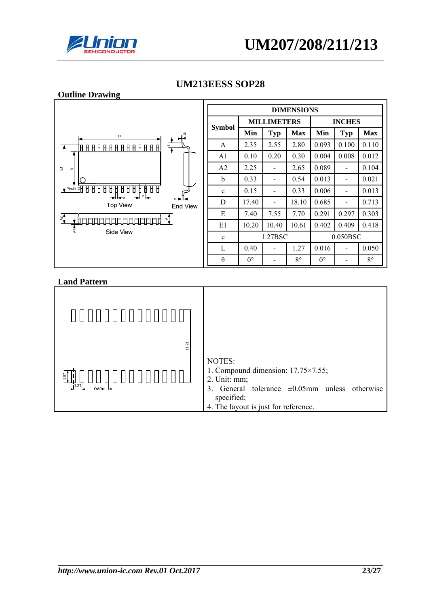



**Outline Drawing** 

### **UM213EESS SOP28**



| <b>DIMENSIONS</b> |                    |            |             |               |            |             |  |  |
|-------------------|--------------------|------------|-------------|---------------|------------|-------------|--|--|
|                   | <b>MILLIMETERS</b> |            |             | <b>INCHES</b> |            |             |  |  |
| <b>Symbol</b>     | Min                | <b>Typ</b> | <b>Max</b>  | Min           | <b>Typ</b> | Max         |  |  |
| A                 | 2.35               | 2.55       | 2.80        | 0.093         | 0.100      | 0.110       |  |  |
| A <sub>1</sub>    | 0.10               | 0.20       | 0.30        | 0.004         | 0.008      | 0.012       |  |  |
| A <sub>2</sub>    | 2.25               |            | 2.65        | 0.089         |            | 0.104       |  |  |
| b                 | 0.33               |            | 0.54        | 0.013         |            | 0.021       |  |  |
| $\mathbf c$       | 0.15               |            | 0.33        | 0.006         |            | 0.013       |  |  |
| D                 | 17.40              |            | 18.10       | 0.685         |            | 0.713       |  |  |
| E                 | 7.40               | 7.55       | 7.70        | 0.291         | 0.297      | 0.303       |  |  |
| E1                | 10.20              | 10.40      | 10.61       | 0.402         | 0.409      | 0.418       |  |  |
| e                 | 1.27BSC            |            |             | $0.050$ BSC   |            |             |  |  |
| L                 | 0.40               |            | 1.27        | 0.016         |            | 0.050       |  |  |
| θ                 | $0^{\circ}$        |            | $8^{\circ}$ | $0^{\circ}$   |            | $8^{\circ}$ |  |  |

| ,,,,,,,,,,,,,,,,,,,              |                                                                                                                                                                                     |
|----------------------------------|-------------------------------------------------------------------------------------------------------------------------------------------------------------------------------------|
| 11.21<br>$rac{5}{2}$<br>$0.60 -$ | NOTES:<br>1. Compound dimension: $17.75 \times 7.55$ ;<br>2. Unit: mm;<br>3. General tolerance $\pm 0.05$ mm unless otherwise<br>specified;<br>4. The layout is just for reference. |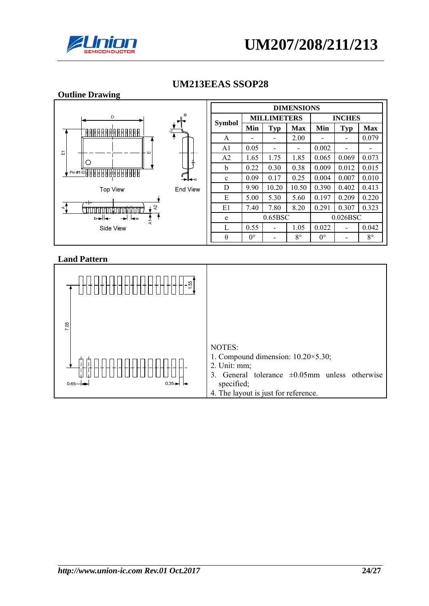

| <b>Outline Drawing</b>                                   |                   |                |                    |         |             |                          |                              |             |
|----------------------------------------------------------|-------------------|----------------|--------------------|---------|-------------|--------------------------|------------------------------|-------------|
|                                                          | <b>DIMENSIONS</b> |                |                    |         |             |                          |                              |             |
| θ<br>D                                                   |                   |                | <b>MILLIMETERS</b> |         |             | <b>INCHES</b>            |                              |             |
| <u>FAARAARAARAA FIAAT</u>                                |                   | <b>Symbol</b>  | Min                | Typ     | Max         | Min                      | <b>Typ</b>                   | <b>Max</b>  |
|                                                          | A                 |                | -                  | 2.00    |             | $\overline{\phantom{0}}$ | 0.079                        |             |
| 됴<br>- ய                                                 |                   | A1             | 0.05               | -       |             | 0.002                    | $\overline{\phantom{0}}$     |             |
|                                                          |                   | A <sub>2</sub> | 1.65               | 1.75    | 1.85        | 0.065                    | 0.069                        | 0.073       |
|                                                          |                   | b              | 0.22               | 0.30    | 0.38        | 0.009                    | 0.012                        | 0.015       |
| Pin#109888888888888888                                   | ∸⊫⊷               | $\mathbf{c}$   | 0.09               | 0.17    | 0.25        | 0.004                    | 0.007                        | 0.010       |
| <b>Top View</b>                                          | End View          | D              | 9.90               | 10.20   | 10.50       | 0.390                    | 0.402                        | 0.413       |
| --                                                       |                   | Е              | 5.00               | 5.30    | 5.60        | 0.197                    | 0.209                        | 0.220       |
| A <sub>2</sub><br>⋖<br><u>הכרה הלחמות הלח</u><br>THHHH I |                   | E1             | 7.40               | 7.80    | 8.20        | 0.291                    | 0.307                        | 0.323       |
| ⋼╼┤┞┱<br>$\frac{1}{4}$                                   |                   | e              |                    | 0.65BSC |             |                          | 0.026BSC                     |             |
| Side View                                                |                   | L              | 0.55               | -       | 1.05        | 0.022                    | $\qquad \qquad \blacksquare$ | 0.042       |
|                                                          |                   | $\theta$       | $0^{\circ}$        | -       | $8^{\circ}$ | $0^{\circ}$              |                              | $8^{\circ}$ |

# **UM213EEAS SSOP28**

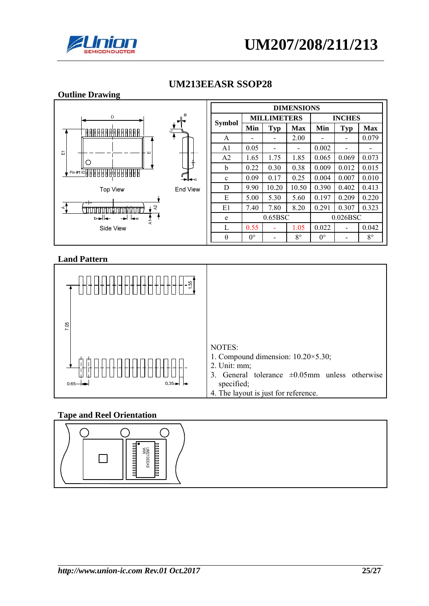

| <b>Outline Drawing</b>                         |                   |                |             |                    |             |             |                              |             |
|------------------------------------------------|-------------------|----------------|-------------|--------------------|-------------|-------------|------------------------------|-------------|
|                                                | <b>DIMENSIONS</b> |                |             |                    |             |             |                              |             |
| D                                              | θ                 |                |             | <b>MILLIMETERS</b> |             |             | <b>INCHES</b>                |             |
| <u>FAARAARAARAA FIAAT</u>                      |                   | <b>Symbol</b>  | Min         | Typ                | <b>Max</b>  | Min         | <b>Typ</b>                   | <b>Max</b>  |
|                                                |                   | A              | -           | -                  | 2.00        |             | $\qquad \qquad \blacksquare$ | 0.079       |
| 굔<br>- ш                                       |                   | A1             | 0.05        | -                  |             | 0.002       | $\overline{\phantom{0}}$     | -           |
|                                                |                   | A <sub>2</sub> | 1.65        | 1.75               | 1.85        | 0.065       | 0.069                        | 0.073       |
|                                                |                   | b              | 0.22        | 0.30               | 0.38        | 0.009       | 0.012                        | 0.015       |
| Pin#1 IDHHHHHHHHHH                             | —>⊩—∝             | $\mathbf{c}$   | 0.09        | 0.17               | 0.25        | 0.004       | 0.007                        | 0.010       |
| <b>Top View</b>                                | End View          | D              | 9.90        | 10.20              | 10.50       | 0.390       | 0.402                        | 0.413       |
| --                                             |                   | E              | 5.00        | 5.30               | 5.60        | 0.197       | 0.209                        | 0.220       |
| $\approx$<br>$\prec$<br><b>TITUTUTU KUULUU</b> |                   | E1             | 7.40        | 7.80               | 8.20        | 0.291       | 0.307                        | 0.323       |
| b—⊫l—<br>→ I I—e<br>न<br>द                     |                   | e              |             | 0.65BSC            |             |             | 0.026BSC                     |             |
| Side View                                      |                   | $\mathbf{L}$   | 0.55        |                    | 1.05        | 0.022       |                              | 0.042       |
|                                                |                   | $\theta$       | $0^{\circ}$ | -                  | $8^{\circ}$ | $0^{\circ}$ |                              | $8^{\circ}$ |

### **UM213EEASR SSOP28**

### **Land Pattern**



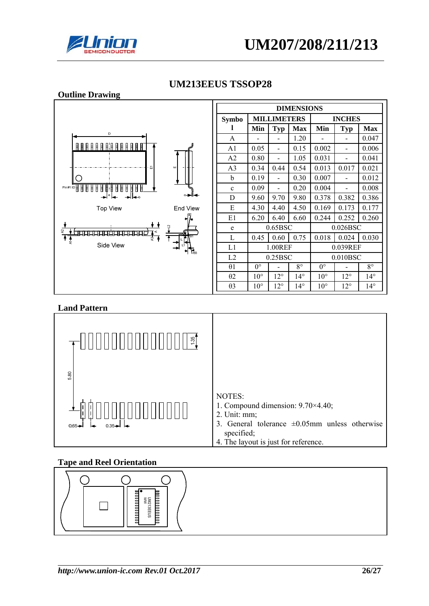



#### **Outline Drawing DIMENSIONS MILLIMETERS INCHES Symbo l**   $Min$  Typ Max Min Typ Max A - - 1.20 - - 0.047  $\begin{array}{c} \texttt{A} \texttt{B} \texttt{B} \texttt{C} \texttt{B} \texttt{C} \texttt{C} \texttt{A} \texttt{C} \texttt{C} \texttt{D} \texttt{C} \texttt{D} \texttt{C} \texttt{D} \texttt{C} \texttt{D} \texttt{C} \end{array}$ A1 0.05 - 0.15 0.002 - 0.006  $A2 \begin{bmatrix} 0.80 & - & 1.05 & 0.031 & - & 0.041 \end{bmatrix}$ A3 0.34 0.44 0.54 0.013 0.017 0.021 b  $\begin{array}{|c|c|c|c|c|c|c|c|c|} \hline 0.19 & - & 0.30 & 0.007 & - & 0.012 \ \hline \end{array}$ C c  $0.09$  -  $0.20$  0.004 - 0.008 888 Ħ D 9.60 9.70 9.80 0.378 0.382 0.386 E  $\begin{array}{|c|c|c|c|c|c|c|c|c|} \hline 4.30 & 4.40 & 4.50 & 0.169 & 0.173 & 0.177 \hline \end{array}$ **Top View** End View E1 6.20 6.40 6.60 0.244 0.252 0.260 e 0.65BSC 0.026BSC <del>प्रप्रप्रप्रप्रप्रप्रप्रप्रप्र</del> L 0.45 0.60 0.75 0.018 0.024 0.030 Side View L1 1.00REF 0.039REF L2 0.25BSC 0.010BSC  $\theta$ 1 | 0° | - | 8° | 0° | - | 8° θ2 10° 12° 14° 10° 12° 14° θ3 10° 12° 14° 10° 12° 14°

# **UM213EEUS TSSOP28**

### **Land Pattern**